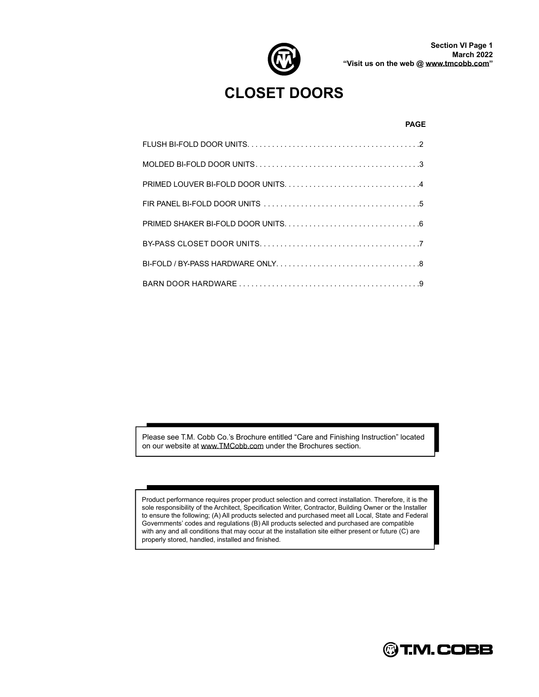

## **CLOSET DOORS**

#### **PAGE**

Please see T.M. Cobb Co.'s Brochure entitled "Care and Finishing Instruction" located on our website at [www.TMCobb.com](http://www.TMCobb.com) under the Brochures section.

Product performance requires proper product selection and correct installation. Therefore, it is the sole responsibility of the Architect, Specification Writer, Contractor, Building Owner or the Installer to ensure the following; (A) All products selected and purchased meet all Local, State and Federal Governments' codes and regulations (B) All products selected and purchased are compatible with any and all conditions that may occur at the installation site either present or future (C) are properly stored, handled, installed and finished.

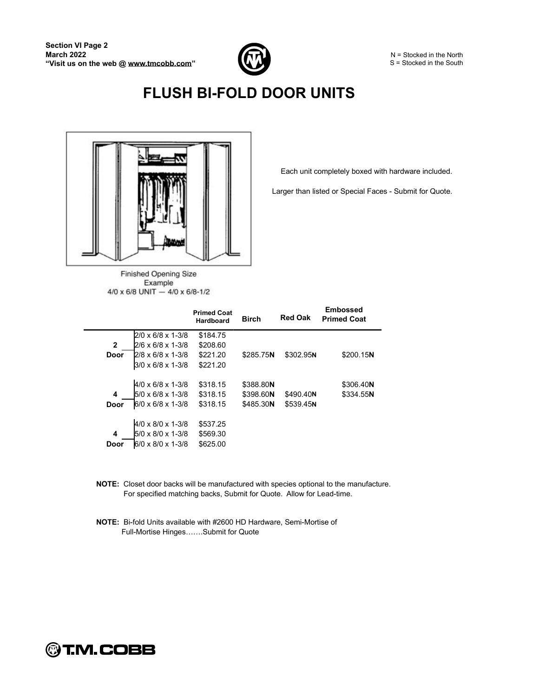

# **FLUSH BI-FOLD DOOR UNITS**



Finished Opening Size Example 4/0 x 6/8 UNIT - 4/0 x 6/8-1/2 Each unit completely boxed with hardware included.

Larger than listed or Special Faces - Submit for Quote.

|              |                                 | <b>Primed Coat</b><br>Hardboard | <b>Birch</b> | <b>Red Oak</b> | <b>Embossed</b><br><b>Primed Coat</b> |
|--------------|---------------------------------|---------------------------------|--------------|----------------|---------------------------------------|
|              | $2/0 \times 6/8 \times 1-3/8$   | \$184.75                        |              |                |                                       |
| $\mathbf{2}$ | 2/6 x 6/8 x 1-3/8               | \$208.60                        |              |                |                                       |
| Door         | $2/8 \times 6/8 \times 1 - 3/8$ | \$221.20                        | \$285.75N    | \$302.95N      | \$200.15N                             |
|              | 3/0 x 6/8 x 1-3/8               | \$221.20                        |              |                |                                       |
|              |                                 |                                 |              |                |                                       |
|              | $4/0 \times 6/8 \times 1-3/8$   | \$318.15                        | \$388.80N    |                | \$306.40N                             |
| 4            | $5/0 \times 6/8 \times 1-3/8$   | \$318.15                        | \$398.60N    | \$490.40N      | \$334.55N                             |
| Door         | 6/0 x 6/8 x 1-3/8               | \$318.15                        | \$485.30N    | \$539.45N      |                                       |
|              |                                 |                                 |              |                |                                       |
|              | $4/0 \times 8/0 \times 1-3/8$   | \$537.25                        |              |                |                                       |
| 4            | $5/0 \times 8/0 \times 1-3/8$   | \$569.30                        |              |                |                                       |
| Door         | 6/0 x 8/0 x 1-3/8               | \$625.00                        |              |                |                                       |

- **NOTE:** Closet door backs will be manufactured with species optional to the manufacture. For specified matching backs, Submit for Quote. Allow for Lead-time.
- **NOTE:** Bi-fold Units available with #2600 HD Hardware, Semi-Mortise of Full-Mortise Hinges.......Submit for Quote

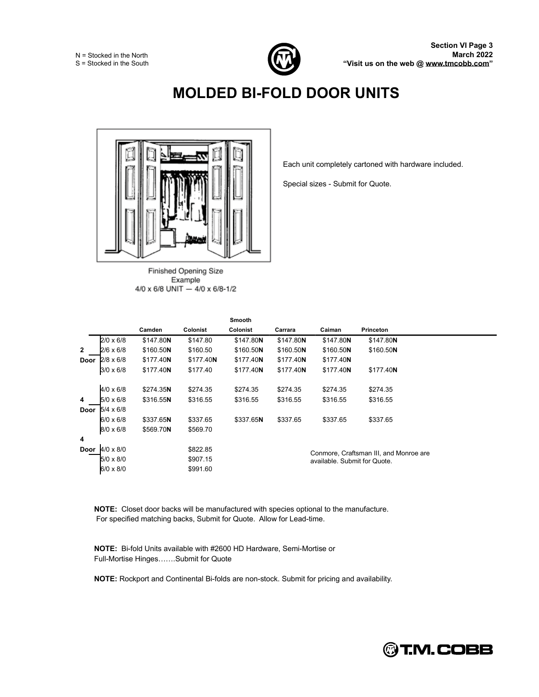

## **MOLDED BI-FOLD DOOR UNITS**



Finished Opening Size Example 4/0 x 6/8 UNIT - 4/0 x 6/8-1/2

Each unit completely cartoned with hardware included.

Special sizes - Submit for Quote.

|              |                  | Camden    | Colonist  | Smooth<br>Colonist | Carrara   | Caiman                       | <b>Princeton</b>                       |
|--------------|------------------|-----------|-----------|--------------------|-----------|------------------------------|----------------------------------------|
|              | $2/0 \times 6/8$ | \$147.80N | \$147.80  | \$147.80N          | \$147.80N | \$147.80N                    | \$147.80N                              |
| $\mathbf{2}$ | 2/6 x 6/8        | \$160.50N | \$160.50  | \$160.50N          | \$160.50N | \$160.50N                    | \$160.50N                              |
| Door         | $2/8 \times 6/8$ | \$177.40N | \$177.40N | \$177.40N          | \$177.40N | \$177.40N                    |                                        |
|              | $3/0 \times 6/8$ | \$177.40N | \$177.40  | \$177.40N          | \$177.40N | \$177.40N                    | \$177.40N                              |
|              | $4/0 \times 6/8$ | \$274.35N | \$274.35  | \$274.35           | \$274.35  | \$274.35                     | \$274.35                               |
| 4            | 5/0 x 6/8        | \$316.55N | \$316.55  | \$316.55           | \$316.55  | \$316.55                     | \$316.55                               |
| Door         | $5/4 \times 6/8$ |           |           |                    |           |                              |                                        |
|              | 6/0 x 6/8        | \$337.65N | \$337.65  | \$337.65N          | \$337.65  | \$337.65                     | \$337.65                               |
|              | 8/0 x 6/8        | \$569.70N | \$569.70  |                    |           |                              |                                        |
| 4            |                  |           |           |                    |           |                              |                                        |
| Door         | $4/0 \times 8/0$ |           | \$822.85  |                    |           |                              | Conmore, Craftsman III, and Monroe are |
|              | 5/0 x 8/0        |           | \$907.15  |                    |           | available. Submit for Quote. |                                        |
|              | 6/0 x 8/0        |           | \$991.60  |                    |           |                              |                                        |

**NOTE:** Closet door backs will be manufactured with species optional to the manufacture. For specified matching backs, Submit for Quote. Allow for Lead-time.

**NOTE:** Bi-fold Units available with #2600 HD Hardware, Semi-Mortise or Full-Mortise Hinges.......Submit for Quote

**NOTE:** Rockport and Continental Bi-folds are non-stock. Submit for pricing and availability.

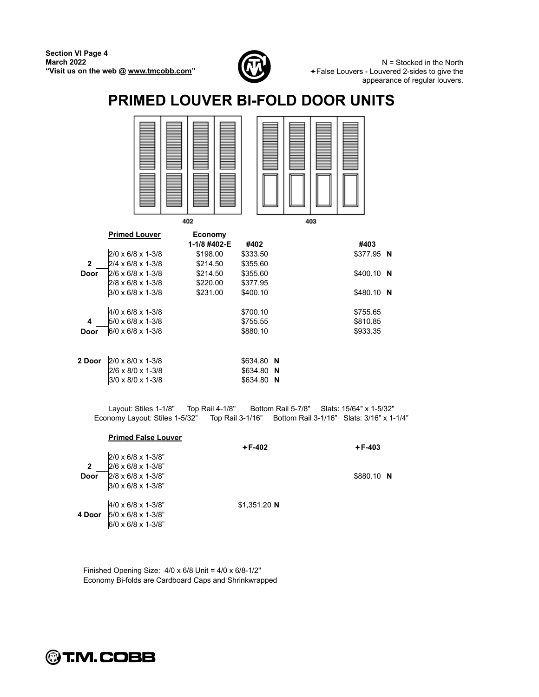

N = Stocked in the North False Louvers - Louvered 2-sides to give the appearance of regular louvers.

### **PRIMED LOUVER BI-FOLD DOOR UNITS**



|              |                                 | 1-1/8 #402-E | #402            | #403        |
|--------------|---------------------------------|--------------|-----------------|-------------|
|              | $2/0 \times 6/8 \times 1-3/8$   | \$198.00     | \$333.50        | \$377.95 N  |
| $\mathbf{2}$ | 2/4 x 6/8 x 1-3/8               | \$214.50     | \$355.60        |             |
| Door         | $2/6 \times 6/8 \times 1-3/8$   | \$214.50     | \$355.60        | $$400.10$ N |
|              | 2/8 x 6/8 x 1-3/8               | \$220.00     | \$377.95        |             |
|              | 3/0 x 6/8 x 1-3/8               | \$231.00     | \$400.10        | \$480.10 N  |
|              | $4/0 \times 6/8 \times 1-3/8$   |              | \$700.10        | \$755.65    |
| 4            | $5/0 \times 6/8 \times 1-3/8$   |              | \$755.55        | \$810.85    |
| <b>Door</b>  | 6/0 x 6/8 x 1-3/8               |              | \$880.10        | \$933.35    |
|              |                                 |              |                 |             |
| 2 Door       | $2/0 \times 8/0 \times 1-3/8$   |              | \$634.80 N      |             |
|              | 2/6 x 8/0 x 1-3/8               |              | \$634.80 N      |             |
|              | $3/0 \times 8/0 \times 1 - 3/8$ |              | \$634.80<br>- N |             |

Layout: Stiles 1-1/8" Top Rail 4-1/8" Bottom Rail 5-7/8" Slats: 15/64" x 1-5/32" Economy Layout: Stiles 1-5/32" Top Rail 3-1/16" Bottom Rail 3-1/16" Slats: 3/16" x 1-1/4"

|                        | <b>Primed False Louver</b>                                                           | $+F-402$      | $+F-403$   |  |
|------------------------|--------------------------------------------------------------------------------------|---------------|------------|--|
| $\overline{2}$<br>Door | 2/0 x 6/8 x 1-3/8"<br>2/6 x 6/8 x 1-3/8"<br>2/8 x 6/8 x 1-3/8"<br>3/0 x 6/8 x 1-3/8" |               | \$880.10 N |  |
| 4 Door                 | 4/0 x 6/8 x 1-3/8"<br>5/0 x 6/8 x 1-3/8"<br>6/0 x 6/8 x 1-3/8"                       | $$1,351.20$ N |            |  |

Finished Opening Size: 4/0 x 6/8 Unit = 4/0 x 6/8-1/2" Economy Bi-folds are Cardboard Caps and Shrinkwrapped

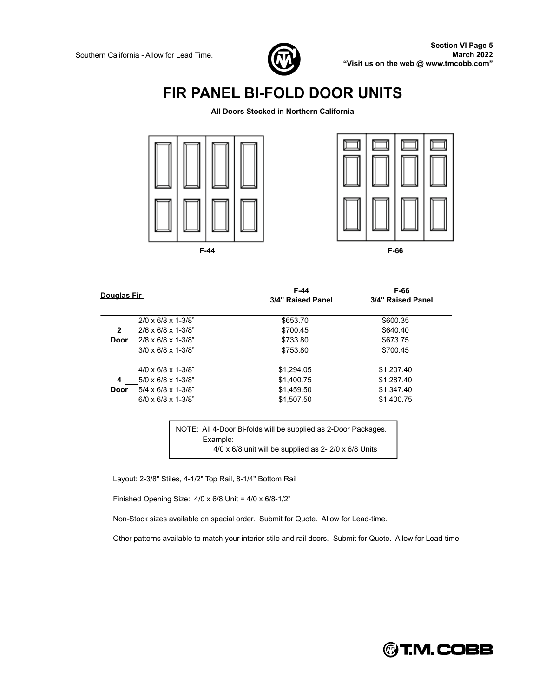

#### **FIR PANEL BI-FOLD DOOR UNITS**

**All Doors Stocked in Northern California**





| Douglas Fir  |                                   | F-44<br>3/4" Raised Panel | F-66<br>3/4" Raised Panel |
|--------------|-----------------------------------|---------------------------|---------------------------|
|              | $2/0 \times 6/8 \times 1 - 3/8$ " | \$653.70                  | \$600.35                  |
| $\mathbf{2}$ | $2/6 \times 6/8 \times 1-3/8$ "   | \$700.45                  | \$640.40                  |
| Door         | $2/8 \times 6/8 \times 1 - 3/8$ " | \$733.80                  | \$673.75                  |
|              | $3/0 \times 6/8 \times 1 - 3/8$ " | \$753.80                  | \$700.45                  |
|              | $4/0 \times 6/8 \times 1-3/8$ "   | \$1.294.05                | \$1.207.40                |
| 4            | $5/0 \times 6/8 \times 1-3/8$ "   | \$1,400.75                | \$1.287.40                |
| Door         | $5/4 \times 6/8 \times 1-3/8$ "   | \$1,459.50                | \$1.347.40                |
|              | $6/0 \times 6/8 \times 1 - 3/8$ " | \$1.507.50                | \$1,400.75                |

NOTE: All 4-Door Bi-folds will be supplied as 2-Door Packages. Example: 4/0 x 6/8 unit will be supplied as 2- 2/0 x 6/8 Units

Layout: 2-3/8" Stiles, 4-1/2" Top Rail, 8-1/4" Bottom Rail

Finished Opening Size: 4/0 x 6/8 Unit = 4/0 x 6/8-1/2"

Non-Stock sizes available on special order. Submit for Quote. Allow for Lead-time.

Other patterns available to match your interior stile and rail doors. Submit for Quote. Allow for Lead-time.

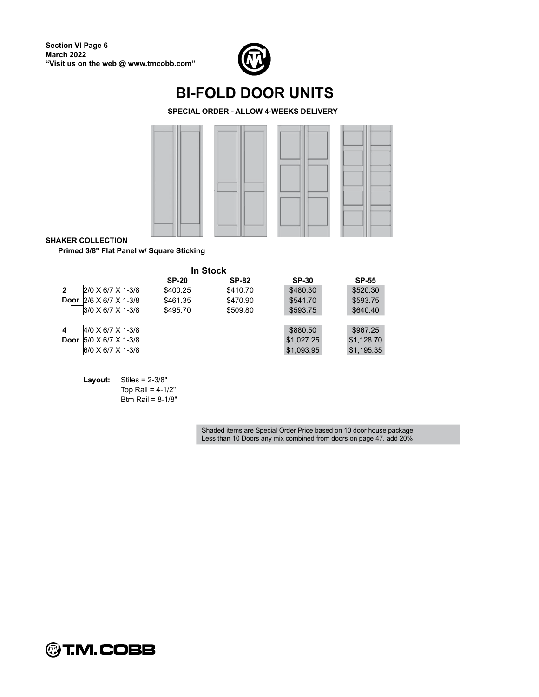

#### **BI-FOLD DOOR UNITS**

**SPECIAL ORDER - ALLOW 4-WEEKS DELIVERY**



**SHAKER COLLECTION**

**Primed 3/8" Flat Panel w/ Square Sticking**

|             |                   |              | <b>In Stock</b> |              |              |
|-------------|-------------------|--------------|-----------------|--------------|--------------|
|             |                   | <b>SP-20</b> | <b>SP-82</b>    | <b>SP-30</b> | <b>SP-55</b> |
| 2           | 2/0 X 6/7 X 1-3/8 | \$400.25     | \$410.70        | \$480.30     | \$520.30     |
| <b>Door</b> | 2/6 X 6/7 X 1-3/8 | \$461.35     | \$470.90        | \$541.70     | \$593.75     |
|             | 3/0 X 6/7 X 1-3/8 | \$495.70     | \$509.80        | \$593.75     | \$640.40     |
|             |                   |              |                 |              |              |
| 4           | 4/0 X 6/7 X 1-3/8 |              |                 | \$880.50     | \$967.25     |
| <b>Door</b> | 5/0 X 6/7 X 1-3/8 |              |                 | \$1,027.25   | \$1,128.70   |
|             | 6/0 X 6/7 X 1-3/8 |              |                 | \$1,093.95   | \$1,195.35   |
|             |                   |              |                 |              |              |

**Layout:** Stiles = 2-3/8" Top Rail =  $4-1/2"$ Btm Rail = 8-1/8"

> Shaded items are Special Order Price based on 10 door house package. Less than 10 Doors any mix combined from doors on page 47, add 20%

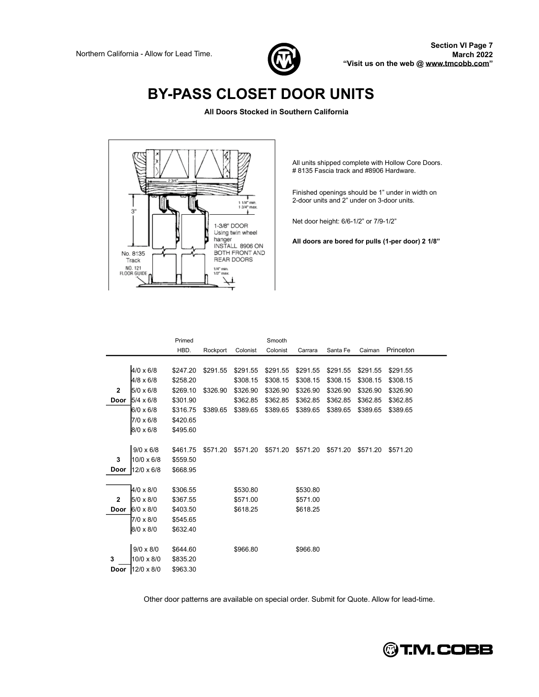

## **BY-PASS CLOSET DOOR UNITS**

**All Doors Stocked in Southern California**



All units shipped complete with Hollow Core Doors. # 8135 Fascia track and #8906 Hardware.

Finished openings should be 1" under in width on 2-door units and 2" under on 3-door units.

Net door height: 6/6-1/2" or 7/9-1/2"

**All doors are bored for pulls (1-per door) 2 1/8**

|                |                  | Primed   |          |          | Smooth   |          |          |          |           |
|----------------|------------------|----------|----------|----------|----------|----------|----------|----------|-----------|
|                |                  | HBD.     | Rockport | Colonist | Colonist | Carrara  | Santa Fe | Caiman   | Princeton |
|                |                  |          |          |          |          |          |          |          |           |
|                | $4/0 \times 6/8$ | \$247.20 | \$291.55 | \$291.55 | \$291.55 | \$291.55 | \$291.55 | \$291.55 | \$291.55  |
|                | 4/8 x 6/8        | \$258.20 |          | \$308.15 | \$308.15 | \$308.15 | \$308.15 | \$308.15 | \$308.15  |
| $\overline{2}$ | 5/0 x 6/8        | \$269.10 | \$326.90 | \$326.90 | \$326.90 | \$326.90 | \$326.90 | \$326.90 | \$326.90  |
| Door           | $5/4 \times 6/8$ | \$301.90 |          | \$362.85 | \$362.85 | \$362.85 | \$362.85 | \$362.85 | \$362.85  |
|                | 6/0 x 6/8        | \$316.75 | \$389.65 | \$389.65 | \$389.65 | \$389.65 | \$389.65 | \$389.65 | \$389.65  |
|                | 7/0 x 6/8        | \$420.65 |          |          |          |          |          |          |           |
|                | 8/0 x 6/8        | \$495.60 |          |          |          |          |          |          |           |
|                |                  |          |          |          |          |          |          |          |           |
|                | $9/0 \times 6/8$ | \$461.75 | \$571.20 | \$571.20 | \$571.20 | \$571.20 | \$571.20 | \$571.20 | \$571.20  |
| 3              | 10/0 x 6/8       | \$559.50 |          |          |          |          |          |          |           |
| Door           | 12/0 x 6/8       | \$668.95 |          |          |          |          |          |          |           |
|                |                  |          |          |          |          |          |          |          |           |
|                | 4/0 x 8/0        | \$306.55 |          | \$530.80 |          | \$530.80 |          |          |           |
| $\mathbf{2}$   | 5/0 x 8/0        | \$367.55 |          | \$571.00 |          | \$571.00 |          |          |           |
| <b>Door</b>    | 6/0 x 8/0        | \$403.50 |          | \$618.25 |          | \$618.25 |          |          |           |
|                | 7/0 x 8/0        | \$545.65 |          |          |          |          |          |          |           |
|                | 8/0 x 8/0        | \$632.40 |          |          |          |          |          |          |           |
|                |                  |          |          |          |          |          |          |          |           |
|                | $9/0 \times 8/0$ | \$644.60 |          | \$966.80 |          | \$966.80 |          |          |           |
| 3              | 10/0 x 8/0       | \$835.20 |          |          |          |          |          |          |           |
| Door           | 12/0 x 8/0       | \$963.30 |          |          |          |          |          |          |           |

Other door patterns are available on special order. Submit for Quote. Allow for lead-time.

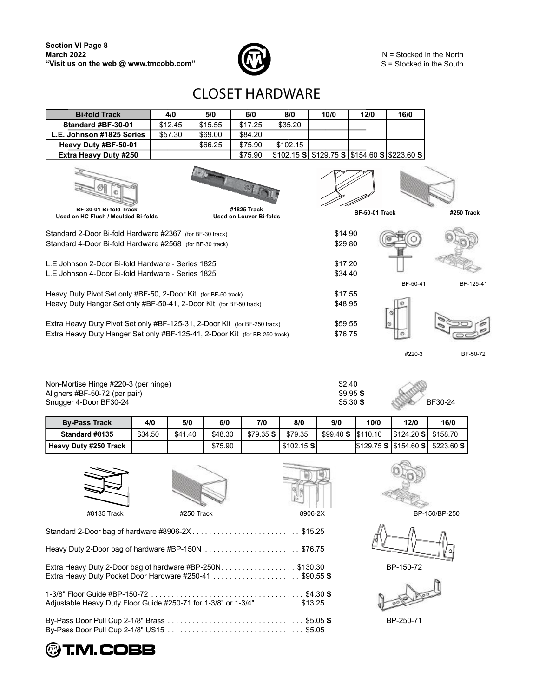

N = Stocked in the North S = Stocked in the South

### $\sf CLOSET$   ${\sf HARDWARE}$

| <b>Bi-fold Track</b>                                                                                                                                    | 4/0     | 5/0     | 6/0                            | 8/0        | 10/0               | 12/0                  | 16/0                              |            |
|---------------------------------------------------------------------------------------------------------------------------------------------------------|---------|---------|--------------------------------|------------|--------------------|-----------------------|-----------------------------------|------------|
| Standard #BF-30-01                                                                                                                                      | \$12.45 | \$15.55 | \$17.25                        | \$35.20    |                    |                       |                                   |            |
| L.E. Johnson #1825 Series                                                                                                                               | \$57.30 | \$69.00 | \$84.20                        |            |                    |                       |                                   |            |
| Heavy Duty #BF-50-01                                                                                                                                    |         | \$66.25 | \$75.90                        | \$102.15   |                    |                       |                                   |            |
| Extra Heavy Duty #250                                                                                                                                   |         |         | \$75.90                        | \$102.15 S |                    |                       | \$129.75 S \$3154.60 S \$223.60 S |            |
| BF-30-01 Bi-fold Track                                                                                                                                  |         |         | #1825 Track                    |            |                    |                       |                                   |            |
| Used on HC Flush / Moulded Bi-folds                                                                                                                     |         |         | <b>Used on Louver Bi-folds</b> |            |                    | <b>BF-50-01 Track</b> |                                   | #250 Track |
| Standard 2-Door Bi-fold Hardware #2367 (for BF-30 track)<br>Standard 4-Door Bi-fold Hardware #2568 (for BF-30 track)                                    |         |         |                                |            | \$14.90<br>\$29.80 |                       |                                   |            |
| L.F. Johnson 2-Door Bi-fold Hardware - Series 1825<br>L.F. Johnson 4-Door Bi-fold Hardware - Series 1825                                                |         |         |                                |            | \$17.20<br>\$34.40 |                       |                                   |            |
|                                                                                                                                                         |         |         |                                |            |                    |                       | BF-50-41                          | BF-125-41  |
| Heavy Duty Pivot Set only #BF-50, 2-Door Kit (for BF-50 track)                                                                                          |         |         |                                |            | \$17.55            |                       |                                   |            |
| Heavy Duty Hanger Set only #BF-50-41, 2-Door Kit (for BF-50 track)                                                                                      |         |         |                                |            | \$48.95            |                       |                                   |            |
| Extra Heavy Duty Pivot Set only #BF-125-31, 2-Door Kit (for BF-250 track)<br>Extra Heavy Duty Hanger Set only #BF-125-41, 2-Door Kit (for BR-250 track) |         |         |                                |            | \$59.55<br>\$76.75 |                       |                                   |            |
|                                                                                                                                                         |         |         |                                |            |                    |                       | #220-3                            | BF-50-72   |
|                                                                                                                                                         |         |         |                                |            |                    |                       |                                   |            |
|                                                                                                                                                         |         |         |                                |            |                    |                       |                                   |            |

Non-Mortise Hinge #220-3 (per hinge) \$2.400 \$2.400 \$2.400 \$2.400 \$2.400 \$1.400 \$1.400 \$1.400 \$1.400 \$1.400 \$1.400 \$1.400 \$1.400 \$1.400 \$1.400 \$1.400 \$1.400 \$1.400 \$1.400 \$1.400 \$1.400 \$1.400 \$1.400 \$1.400 \$1.400 \$1.400 \$1. Aligners #BF-50-72 (per pair) \$9.95 **S** Snugger 4-Door BF30-24 \$5.30 **S** BF30-24

| \$2.40          |  |
|-----------------|--|
| \$9.95 <b>S</b> |  |
| \$5.30 S        |  |

| <b>By-Pass Track</b>  | 4/0     | 5/0     | 6/0     | 7/0      | 8/0         | 9/0      | 10/0     | 12/0                                     | 16/0                                 |
|-----------------------|---------|---------|---------|----------|-------------|----------|----------|------------------------------------------|--------------------------------------|
| Standard #8135        | \$34.50 | \$41.40 | \$48.30 | \$79.35S | \$79.35     | \$99.40S | \$110.10 | $\frac{1}{2}$ \$124.20 <b>S</b> \$158.70 |                                      |
| Heavy Duty #250 Track |         |         | \$75.90 |          | $$102.15$ S |          |          |                                          | \$129.75 S S 15154.60 S S \$223.60 S |



| 000c |  |
|------|--|

**Commercial** 

| #8135 Track | #250 Track                                                                                                          | 8906-2X | BP-150/BP-250 |
|-------------|---------------------------------------------------------------------------------------------------------------------|---------|---------------|
|             |                                                                                                                     |         |               |
|             |                                                                                                                     |         |               |
|             | Extra Heavy Duty 2-Door bag of hardware #BP-250N\$130.30<br>Extra Heavy Duty Pocket Door Hardware #250-41 \$90.55 S |         | BP-150-72     |
|             | Adjustable Heavy Duty Floor Guide #250-71 for 1-3/8" or 1-3/4". \$13.25                                             |         |               |
|             |                                                                                                                     |         | BP-250-71     |